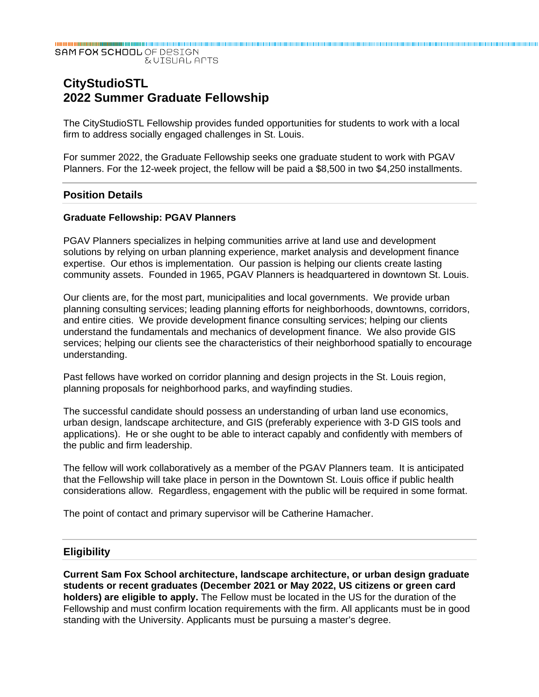SAM FOX SCHOOL OF DESIGN **EVISUAL APTS** 

# **CityStudioSTL 2022 Summer Graduate Fellowship**

The CityStudioSTL Fellowship provides funded opportunities for students to work with a local firm to address socially engaged challenges in St. Louis.

For summer 2022, the Graduate Fellowship seeks one graduate student to work with PGAV Planners. For the 12-week project, the fellow will be paid a \$8,500 in two \$4,250 installments.

#### **Position Details**

#### **Graduate Fellowship: PGAV Planners**

PGAV Planners specializes in helping communities arrive at land use and development solutions by relying on urban planning experience, market analysis and development finance expertise. Our ethos is implementation. Our passion is helping our clients create lasting community assets. Founded in 1965, PGAV Planners is headquartered in downtown St. Louis.

Our clients are, for the most part, municipalities and local governments. We provide urban planning consulting services; leading planning efforts for neighborhoods, downtowns, corridors, and entire cities. We provide development finance consulting services; helping our clients understand the fundamentals and mechanics of development finance. We also provide GIS services; helping our clients see the characteristics of their neighborhood spatially to encourage understanding.

Past fellows have worked on corridor planning and design projects in the St. Louis region, planning proposals for neighborhood parks, and wayfinding studies.

The successful candidate should possess an understanding of urban land use economics, urban design, landscape architecture, and GIS (preferably experience with 3-D GIS tools and applications). He or she ought to be able to interact capably and confidently with members of the public and firm leadership.

The fellow will work collaboratively as a member of the PGAV Planners team. It is anticipated that the Fellowship will take place in person in the Downtown St. Louis office if public health considerations allow. Regardless, engagement with the public will be required in some format.

The point of contact and primary supervisor will be Catherine Hamacher.

#### **Eligibility**

**Current Sam Fox School architecture, landscape architecture, or urban design graduate students or recent graduates (December 2021 or May 2022, US citizens or green card holders) are eligible to apply.** The Fellow must be located in the US for the duration of the Fellowship and must confirm location requirements with the firm. All applicants must be in good standing with the University. Applicants must be pursuing a master's degree.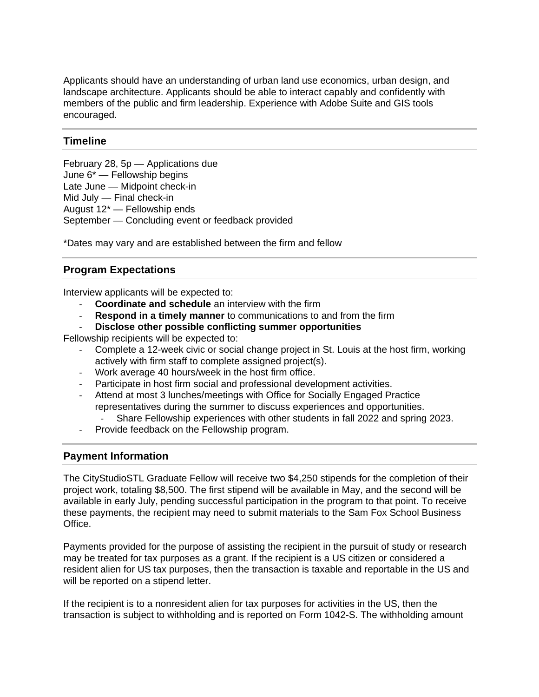Applicants should have an understanding of urban land use economics, urban design, and landscape architecture. Applicants should be able to interact capably and confidently with members of the public and firm leadership. Experience with Adobe Suite and GIS tools encouraged.

## **Timeline**

February 28, 5p — Applications due June 6\* — Fellowship begins Late June — Midpoint check-in Mid July — Final check-in August 12\* — Fellowship ends September — Concluding event or feedback provided

\*Dates may vary and are established between the firm and fellow

## **Program Expectations**

Interview applicants will be expected to:

- ‐ **Coordinate and schedule** an interview with the firm
- ‐ **Respond in a timely manner** to communications to and from the firm
- ‐ **Disclose other possible conflicting summer opportunities**

Fellowship recipients will be expected to:

- ‐ Complete a 12-week civic or social change project in St. Louis at the host firm, working actively with firm staff to complete assigned project(s).
- ‐ Work average 40 hours/week in the host firm office.
- ‐ Participate in host firm social and professional development activities.
- ‐ Attend at most 3 lunches/meetings with Office for Socially Engaged Practice representatives during the summer to discuss experiences and opportunities.
	- ‐ Share Fellowship experiences with other students in fall 2022 and spring 2023.
- ‐ Provide feedback on the Fellowship program.

## **Payment Information**

The CityStudioSTL Graduate Fellow will receive two \$4,250 stipends for the completion of their project work, totaling \$8,500. The first stipend will be available in May, and the second will be available in early July, pending successful participation in the program to that point. To receive these payments, the recipient may need to submit materials to the Sam Fox School Business Office.

Payments provided for the purpose of assisting the recipient in the pursuit of study or research may be treated for tax purposes as a grant. If the recipient is a US citizen or considered a resident alien for US tax purposes, then the transaction is taxable and reportable in the US and will be reported on a stipend letter.

If the recipient is to a nonresident alien for tax purposes for activities in the US, then the transaction is subject to withholding and is reported on Form 1042-S. The withholding amount